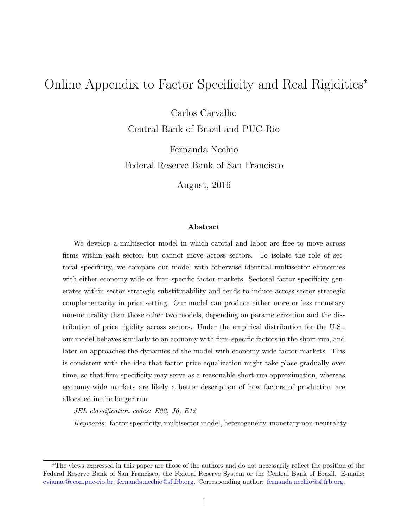# Online Appendix to Factor Specificity and Real Rigidities<sup>∗</sup>

Carlos Carvalho

Central Bank of Brazil and PUC-Rio

Fernanda Nechio Federal Reserve Bank of San Francisco

August, 2016

#### Abstract

We develop a multisector model in which capital and labor are free to move across firms within each sector, but cannot move across sectors. To isolate the role of sectoral specificity, we compare our model with otherwise identical multisector economies with either economy-wide or firm-specific factor markets. Sectoral factor specificity generates within-sector strategic substitutability and tends to induce across-sector strategic complementarity in price setting. Our model can produce either more or less monetary non-neutrality than those other two models, depending on parameterization and the distribution of price rigidity across sectors. Under the empirical distribution for the U.S., our model behaves similarly to an economy with firm-specific factors in the short-run, and later on approaches the dynamics of the model with economy-wide factor markets. This is consistent with the idea that factor price equalization might take place gradually over time, so that firm-specificity may serve as a reasonable short-run approximation, whereas economy-wide markets are likely a better description of how factors of production are allocated in the longer run.

JEL classification codes: E22, J6, E12

Keywords: factor specificity, multisector model, heterogeneity, monetary non-neutrality

<sup>∗</sup>The views expressed in this paper are those of the authors and do not necessarily reflect the position of the Federal Reserve Bank of San Francisco, the Federal Reserve System or the Central Bank of Brazil. E-mails: [cvianac@econ.puc-rio.br,](mailto:cvianac@econ.puc-rio.br) [fernanda.nechio@sf.frb.org.](mailto:fernanda.nechio@sf.frb.org) Corresponding author: [fernanda.nechio@sf.frb.org.](mailto:fernanda.nechio@sf.frb.org)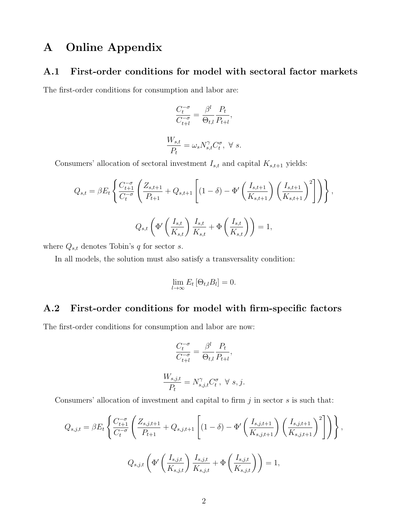## A Online Appendix

### A.1 First-order conditions for model with sectoral factor markets

The first-order conditions for consumption and labor are:

$$
\frac{C_t^{-\sigma}}{C_{t+l}^{-\sigma}} = \frac{\beta^l}{\Theta_{t,l}} \frac{P_t}{P_{t+l}},
$$
  

$$
\frac{W_{s,t}}{P_t} = \omega_s N_{s,t}^{\gamma} C_t^{\sigma}, \ \forall \ s.
$$

Consumers' allocation of sectoral investment  $I_{s,t}$  and capital  $K_{s,t+1}$  yields:

$$
Q_{s,t} = \beta E_t \left\{ \frac{C_{t+1}^{-\sigma}}{C_t^{-\sigma}} \left( \frac{Z_{s,t+1}}{P_{t+1}} + Q_{s,t+1} \left[ (1-\delta) - \Phi' \left( \frac{I_{s,t+1}}{K_{s,t+1}} \right) \left( \frac{I_{s,t+1}}{K_{s,t+1}} \right)^2 \right] \right) \right\},\
$$
  

$$
Q_{s,t} \left( \Phi' \left( \frac{I_{s,t}}{K_{s,t}} \right) \frac{I_{s,t}}{K_{s,t}} + \Phi \left( \frac{I_{s,t}}{K_{s,t}} \right) \right) = 1,
$$

where  $Q_{s,t}$  denotes Tobin's q for sector s.

In all models, the solution must also satisfy a transversality condition:

$$
\lim_{l\to\infty} E_t\left[\Theta_{t,l}B_l\right]=0.
$$

## A.2 First-order conditions for model with firm-specific factors

The first-order conditions for consumption and labor are now:

$$
\frac{C_t^{-\sigma}}{C_{t+l}^{-\sigma}} = \frac{\beta^l}{\Theta_{t,l}} \frac{P_t}{P_{t+l}},
$$
  

$$
\frac{W_{s,j,t}}{P_t} = N_{s,j,t}^{\gamma} C_t^{\sigma}, \ \forall \ s, j.
$$

Consumers' allocation of investment and capital to firm  $j$  in sector  $s$  is such that:

$$
Q_{s,j,t} = \beta E_t \left\{ \frac{C_{t+1}^{-\sigma}}{C_t^{-\sigma}} \left( \frac{Z_{s,j,t+1}}{P_{t+1}} + Q_{s,j,t+1} \left[ (1-\delta) - \Phi' \left( \frac{I_{s,j,t+1}}{K_{s,j,t+1}} \right) \left( \frac{I_{s,j,t+1}}{K_{s,j,t+1}} \right)^2 \right] \right) \right\},
$$
  

$$
Q_{s,j,t} \left( \Phi' \left( \frac{I_{s,j,t}}{K_{s,j,t}} \right) \frac{I_{s,j,t}}{K_{s,j,t}} + \Phi \left( \frac{I_{s,j,t}}{K_{s,j,t}} \right) \right) = 1,
$$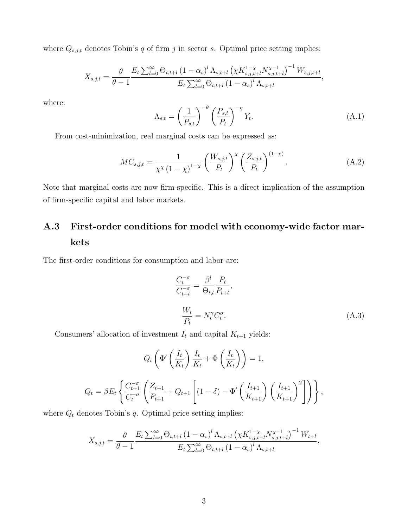where  $Q_{s,j,t}$  denotes Tobin's q of firm j in sector s. Optimal price setting implies:

$$
X_{s,j,t} = \frac{\theta}{\theta - 1} \frac{E_t \sum_{l=0}^{\infty} \Theta_{t,t+l} (1 - \alpha_s)^l \Lambda_{s,t+l} (\chi K_{s,j,t+l}^{1-\chi} N_{s,j,t+l}^{\chi-1})^{-1} W_{s,j,t+l}}{E_t \sum_{l=0}^{\infty} \Theta_{t,t+l} (1 - \alpha_s)^l \Lambda_{s,t+l}},
$$

where:

$$
\Lambda_{s,t} = \left(\frac{1}{P_{s,t}}\right)^{-\theta} \left(\frac{P_{s,t}}{P_t}\right)^{-\eta} Y_t.
$$
\n(A.1)

From cost-minimization, real marginal costs can be expressed as:

$$
MC_{s,j,t} = \frac{1}{\chi^{\chi} (1 - \chi)^{1 - \chi}} \left( \frac{W_{s,j,t}}{P_t} \right)^{\chi} \left( \frac{Z_{s,j,t}}{P_t} \right)^{(1 - \chi)}.
$$
 (A.2)

Note that marginal costs are now firm-specific. This is a direct implication of the assumption of firm-specific capital and labor markets.

# A.3 First-order conditions for model with economy-wide factor markets

The first-order conditions for consumption and labor are:

$$
\frac{C_t^{-\sigma}}{C_{t+l}^{-\sigma}} = \frac{\beta^l}{\Theta_{t,l}} \frac{P_t}{P_{t+l}},
$$
\n
$$
\frac{W_t}{P_t} = N_t^{\gamma} C_t^{\sigma}.
$$
\n(A.3)

Consumers' allocation of investment  $I_t$  and capital  $K_{t+1}$  yields:

$$
Q_t \left( \Phi' \left( \frac{I_t}{K_t} \right) \frac{I_t}{K_t} + \Phi \left( \frac{I_t}{K_t} \right) \right) = 1,
$$
  

$$
Q_t = \beta E_t \left\{ \frac{C_{t+1}^{-\sigma}}{C_t^{-\sigma}} \left( \frac{Z_{t+1}}{P_{t+1}} + Q_{t+1} \left[ (1 - \delta) - \Phi' \left( \frac{I_{t+1}}{K_{t+1}} \right) \left( \frac{I_{t+1}}{K_{t+1}} \right)^2 \right] \right) \right\},
$$

where  $\boldsymbol{Q}_t$  denotes Tobin's  $q.$  Optimal price setting implies:

$$
X_{s,j,t} = \frac{\theta}{\theta - 1} \frac{E_t \sum_{l=0}^{\infty} \Theta_{t,t+l} (1 - \alpha_s)^l \Lambda_{s,t+l} (\chi K_{s,j,t+l}^{1-\chi} N_{s,j,t+l}^{\chi - 1})^{-1} W_{t+l}}{E_t \sum_{l=0}^{\infty} \Theta_{t,t+l} (1 - \alpha_s)^l \Lambda_{s,t+l}},
$$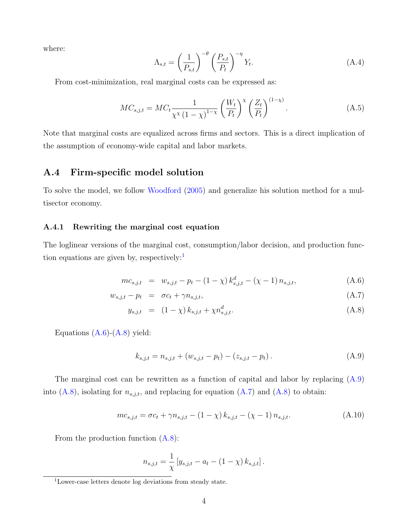where:

$$
\Lambda_{s,t} = \left(\frac{1}{P_{s,t}}\right)^{-\theta} \left(\frac{P_{s,t}}{P_t}\right)^{-\eta} Y_t.
$$
\n(A.4)

From cost-minimization, real marginal costs can be expressed as:

$$
MC_{s,j,t} = MC_t \frac{1}{\chi^{\chi} \left(1 - \chi\right)^{1 - \chi}} \left(\frac{W_t}{P_t}\right)^{\chi} \left(\frac{Z_t}{P_t}\right)^{(1 - \chi)}.\tag{A.5}
$$

Note that marginal costs are equalized across firms and sectors. This is a direct implication of the assumption of economy-wide capital and labor markets.

### A.4 Firm-specific model solution

To solve the model, we follow [Woodford](#page-10-0) [\(2005\)](#page-10-0) and generalize his solution method for a multisector economy.

#### A.4.1 Rewriting the marginal cost equation

The loglinear versions of the marginal cost, consumption/labor decision, and production function equations are given by, respectively: $\cdot$ 

<span id="page-3-1"></span>
$$
mc_{s,j,t} = w_{s,j,t} - p_t - (1 - \chi) k_{s,j,t}^d - (\chi - 1) n_{s,j,t},
$$
\n(A.6)

$$
w_{s,j,t} - p_t = \sigma c_t + \gamma n_{s,j,t}, \qquad (A.7)
$$

$$
y_{s,j,t} = (1 - \chi) k_{s,j,t} + \chi n_{s,j,t}^d.
$$
 (A.8)

Equations  $(A.6)-(A.8)$  $(A.6)-(A.8)$  $(A.6)-(A.8)$  yield:

<span id="page-3-2"></span>
$$
k_{s,j,t} = n_{s,j,t} + (w_{s,j,t} - p_t) - (z_{s,j,t} - p_t).
$$
\n(A.9)

The marginal cost can be rewritten as a function of capital and labor by replacing [\(A.9\)](#page-3-2) into [\(A.8\)](#page-3-1), isolating for  $n_{s,j,t}$ , and replacing for equation [\(A.7\)](#page-3-1) and (A.8) to obtain:

<span id="page-3-3"></span>
$$
mc_{s,j,t} = \sigma c_t + \gamma n_{s,j,t} - (1 - \chi) k_{s,j,t} - (\chi - 1) n_{s,j,t}.
$$
 (A.10)

From the production function [\(A.8\)](#page-3-1):

$$
n_{s,j,t} = \frac{1}{\chi} \left[ y_{s,j,t} - a_t - (1 - \chi) k_{s,j,t} \right].
$$

<span id="page-3-0"></span><sup>1</sup>Lower-case letters denote log deviations from steady state.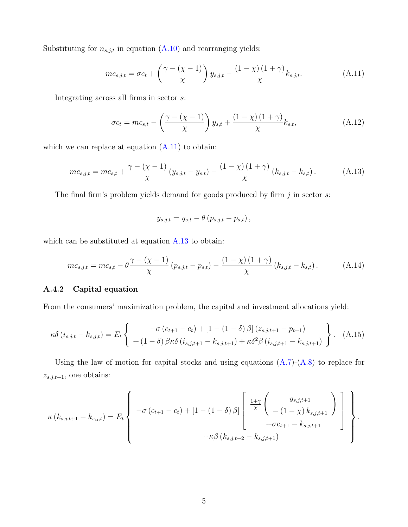Substituting for  $n_{s,j,t}$  in equation  $(A.10)$  and rearranging yields:

<span id="page-4-0"></span>
$$
mc_{s,j,t} = \sigma c_t + \left(\frac{\gamma - (\chi - 1)}{\chi}\right) y_{s,j,t} - \frac{(1 - \chi)(1 + \gamma)}{\chi} k_{s,j,t}.
$$
 (A.11)

Integrating across all firms in sector s:

$$
\sigma c_t = mc_{s,t} - \left(\frac{\gamma - (\chi - 1)}{\chi}\right) y_{s,t} + \frac{(1 - \chi)(1 + \gamma)}{\chi} k_{s,t},\tag{A.12}
$$

which we can replace at equation  $(A.11)$  to obtain:

<span id="page-4-1"></span>
$$
mc_{s,j,t} = mc_{s,t} + \frac{\gamma - (\chi - 1)}{\chi} (y_{s,j,t} - y_{s,t}) - \frac{(1 - \chi)(1 + \gamma)}{\chi} (k_{s,j,t} - k_{s,t}).
$$
 (A.13)

The final firm's problem yields demand for goods produced by firm  $j$  in sector  $s$ :

$$
y_{s,j,t} = y_{s,t} - \theta (p_{s,j,t} - p_{s,t}),
$$

which can be substituted at equation [A.13](#page-4-1) to obtain:

<span id="page-4-2"></span>
$$
mc_{s,j,t} = mc_{s,t} - \theta \frac{\gamma - (\chi - 1)}{\chi} (p_{s,j,t} - p_{s,t}) - \frac{(1 - \chi)(1 + \gamma)}{\chi} (k_{s,j,t} - k_{s,t}).
$$
 (A.14)

#### A.4.2 Capital equation

From the consumers' maximization problem, the capital and investment allocations yield:

$$
\kappa \delta (i_{s,j,t} - k_{s,j,t}) = E_t \left\{ \begin{array}{c} -\sigma (c_{t+1} - c_t) + [1 - (1 - \delta) \beta] (z_{s,j,t+1} - p_{t+1}) \\ + (1 - \delta) \beta \kappa \delta (i_{s,j,t+1} - k_{s,j,t+1}) + \kappa \delta^2 \beta (i_{s,j,t+1} - k_{s,j,t+1}) \end{array} \right\}.
$$
 (A.15)

Using the law of motion for capital stocks and using equations  $(A.7)-(A.8)$  $(A.7)-(A.8)$  $(A.7)-(A.8)$  to replace for  $z_{s,j,t+1}$ , one obtains:

$$
\kappa(k_{s,j,t+1} - k_{s,j,t}) = E_t \left\{ -\sigma (c_{t+1} - c_t) + [1 - (1 - \delta) \beta] \left[ \frac{1 + \gamma}{\chi} \begin{pmatrix} y_{s,j,t+1} \\ -(1 - \chi) k_{s,j,t+1} \end{pmatrix} \right] \right\}.
$$

$$
+ \kappa \beta (k_{s,j,t+2} - k_{s,j,t+1})
$$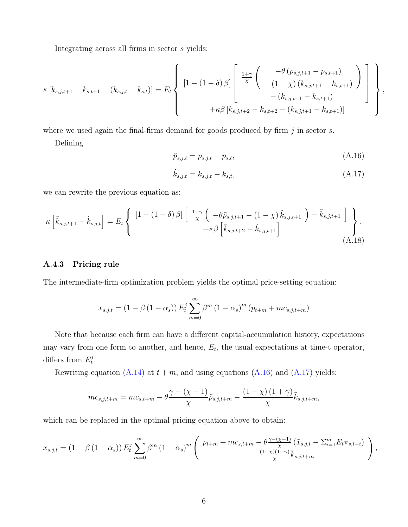Integrating across all firms in sector s yields:

$$
\kappa [k_{s,j,t+1} - k_{s,t+1} - (k_{s,j,t} - k_{s,t})] = E_t \left\{ \begin{array}{c} \left[1 - (1 - \delta) \beta\right] \begin{bmatrix} \frac{1 + \gamma}{\chi} \begin{pmatrix} -\theta (p_{s,j,t+1} - p_{s,t+1}) \\ -(1 - \chi) (k_{s,j,t+1} - k_{s,t+1}) \end{pmatrix} \\ - (k_{s,j,t+1} - k_{s,t+1}) \end{bmatrix} \end{array} \right\},
$$

where we used again the final-firms demand for goods produced by firm  $j$  in sector  $s$ .

Defining

<span id="page-5-0"></span>
$$
\tilde{p}_{s,j,t} = p_{s,j,t} - p_{s,t},\tag{A.16}
$$

<span id="page-5-1"></span>
$$
\tilde{k}_{s,j,t} = k_{s,j,t} - k_{s,t},\tag{A.17}
$$

we can rewrite the previous equation as:

<span id="page-5-2"></span>
$$
\kappa\left[\tilde{k}_{s,j,t+1} - \tilde{k}_{s,j,t}\right] = E_t \left\{ \begin{array}{c} \left[1 - \left(1 - \delta\right)\beta\right] \left[\begin{array}{c} \frac{1+\gamma}{\chi} \left(-\theta \tilde{p}_{s,j,t+1} - \left(1 - \chi\right)\tilde{k}_{s,j,t+1}\right) - \tilde{k}_{s,j,t+1} \right] \\ + \kappa \beta \left[\tilde{k}_{s,j,t+2} - \tilde{k}_{s,j,t+1}\right] \end{array} \right\} \right\}.
$$
\n(A.18)

#### A.4.3 Pricing rule

The intermediate-firm optimization problem yields the optimal price-setting equation:

$$
x_{s,j,t} = (1 - \beta (1 - \alpha_s)) E_t^j \sum_{m=0}^{\infty} \beta^m (1 - \alpha_s)^m (p_{t+m} + mc_{s,j,t+m})
$$

Note that because each firm can have a different capital-accumulation history, expectations may vary from one form to another, and hence,  $E_t$ , the usual expectations at time-t operator, differs from  $E_t^j$  $_t^{\jmath}$  .

Rewriting equation [\(A.14\)](#page-4-2) at  $t + m$ , and using equations [\(A.16\)](#page-5-0) and [\(A.17\)](#page-5-1) yields:

$$
mc_{s,j,t+m} = mc_{s,t+m} - \theta \frac{\gamma - (\chi - 1)}{\chi} \tilde{p}_{s,j,t+m} - \frac{(1 - \chi)(1 + \gamma)}{\chi} \tilde{k}_{s,j,t+m},
$$

which can be replaced in the optimal pricing equation above to obtain:

$$
x_{s,j,t} = (1 - \beta (1 - \alpha_s)) E_t^j \sum_{m=0}^{\infty} \beta^m (1 - \alpha_s)^m \left( P_{t+m} + m c_{s,t+m} - \frac{\beta \gamma - (\chi - 1)}{\chi} (\tilde{x}_{s,j,t} - \Sigma_{i=1}^m E_t \pi_{s,t+i}) - \frac{(1 - \chi)(1 + \gamma)}{\chi} \tilde{k}_{s,j,t+m} \right),
$$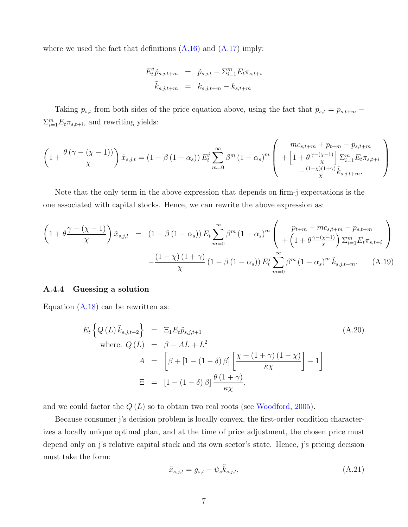where we used the fact that definitions  $(A.16)$  and  $(A.17)$  imply:

$$
E_t^j \tilde{p}_{s,j,t+m} = \tilde{p}_{s,j,t} - \sum_{i=1}^m E_t \pi_{s,t+i}
$$

$$
\tilde{k}_{s,j,t+m} = k_{s,j,t+m} - k_{s,t+m}
$$

Taking  $p_{s,t}$  from both sides of the price equation above, using the fact that  $p_{s,t} = p_{s,t+m}$  $\sum_{i=1}^{m} E_t \pi_{s,t+i}$ , and rewriting yields:

$$
\left(1 + \frac{\theta\left(\gamma - (\chi - 1)\right)}{\chi}\right)\tilde{x}_{s,j,t} = \left(1 - \beta\left(1 - \alpha_s\right)\right)E_t^j\sum_{m=0}^{\infty}\beta^m\left(1 - \alpha_s\right)^m \left(1 + \left[1 + \frac{\theta\gamma - (\chi - 1)}{\chi}\right]\sum_{i=1}^m E_t\pi_{s,t+i}\right) - \frac{\left(1 - \chi\right)\left(1 + \gamma\right)}{\chi}\tilde{k}_{s,j,t+m}.
$$

Note that the only term in the above expression that depends on firm-j expectations is the one associated with capital stocks. Hence, we can rewrite the above expression as:

<span id="page-6-2"></span>
$$
\left(1+\theta\frac{\gamma-(\chi-1)}{\chi}\right)\tilde{x}_{s,j,t} = (1-\beta(1-\alpha_s))E_t\sum_{m=0}^{\infty}\beta^m(1-\alpha_s)^m\left( p_{t+m} + mc_{s,t+m} - p_{s,t+m} \atop + (1+\theta\frac{\gamma-(\chi-1)}{\chi})\sum_{i=1}^m E_t\pi_{s,t+i} \right) -\frac{(1-\chi)(1+\gamma)}{\chi}(1-\beta(1-\alpha_s))E_t^j\sum_{m=0}^{\infty}\beta^m(1-\alpha_s)^m\tilde{k}_{s,j,t+m}.
$$
 (A.19)

#### A.4.4 Guessing a solution

Equation  $(A.18)$  can be rewritten as:

<span id="page-6-1"></span>
$$
E_t \left\{ Q(L) \tilde{k}_{s,j,t+2} \right\} = \Xi_1 E_t \tilde{p}_{s,j,t+1}
$$
\n(A.20)

\n
$$
A = \left[ \beta + [1 - (1 - \delta) \beta] \left[ \frac{\chi + (1 + \gamma)(1 - \chi)}{\kappa \chi} \right] - 1 \right]
$$
\n
$$
\Xi = \left[ 1 - (1 - \delta) \beta \right] \frac{\theta (1 + \gamma)}{\kappa \chi},
$$

and we could factor the  $Q(L)$  so to obtain two real roots (see [Woodford,](#page-10-0) [2005\)](#page-10-0).

Because consumer j's decision problem is locally convex, the first-order condition characterizes a locally unique optimal plan, and at the time of price adjustment, the chosen price must depend only on j's relative capital stock and its own sector's state. Hence, j's pricing decision must take the form:

<span id="page-6-0"></span>
$$
\tilde{x}_{s,j,t} = g_{s,t} - \psi_s \tilde{k}_{s,j,t},\tag{A.21}
$$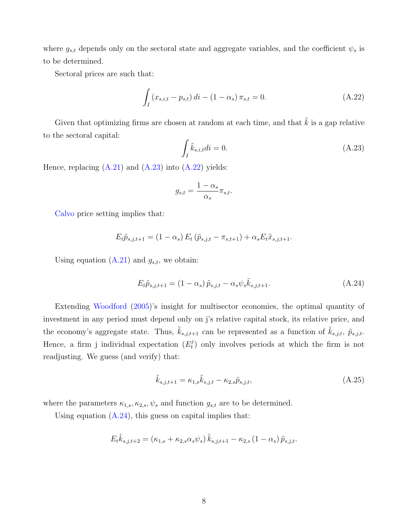where  $g_{s,t}$  depends only on the sectoral state and aggregate variables, and the coefficient  $\psi_s$  is to be determined.

Sectoral prices are such that:

<span id="page-7-1"></span>
$$
\int_{I} (x_{s,i,t} - p_{s,t}) dt - (1 - \alpha_s) \pi_{s,t} = 0.
$$
\n(A.22)

Given that optimizing firms are chosen at random at each time, and that  $\tilde{k}$  is a gap relative to the sectoral capital:

<span id="page-7-0"></span>
$$
\int_{I} \tilde{k}_{s,i,t} di = 0. \tag{A.23}
$$

Hence, replacing  $(A.21)$  and  $(A.23)$  into  $(A.22)$  yields:

$$
g_{s,t} = \frac{1 - \alpha_s}{\alpha_s} \pi_{s,t}.
$$

[Calvo](#page-10-1) price setting implies that:

$$
E_t \tilde{p}_{s,j,t+1} = (1 - \alpha_s) E_t (\tilde{p}_{s,j,t} - \pi_{s,t+1}) + \alpha_s E_t \tilde{x}_{s,j,t+1}.
$$

Using equation  $(A.21)$  and  $g_{s,t}$ , we obtain:

<span id="page-7-2"></span>
$$
E_t \tilde{p}_{s,j,t+1} = (1 - \alpha_s) \tilde{p}_{s,j,t} - \alpha_s \psi_s \tilde{k}_{s,j,t+1}.
$$
\n(A.24)

Extending [Woodford](#page-10-0) [\(2005\)](#page-10-0)'s insight for multisector economies, the optimal quantity of investment in any period must depend only on j's relative capital stock, its relative price, and the economy's aggregate state. Thus,  $\tilde{k}_{s,j,t+1}$  can be represented as a function of  $\tilde{k}_{s,j,t}$ ,  $\tilde{p}_{s,j,t}$ . Hence, a firm j individual expectation  $(E_t^j)$  $t<sub>t</sub>$ ) only involves periods at which the firm is not readjusting. We guess (and verify) that:

<span id="page-7-3"></span>
$$
\tilde{k}_{s,j,t+1} = \kappa_{1,s}\tilde{k}_{s,j,t} - \kappa_{2,s}\tilde{p}_{s,j,t},
$$
\n(A.25)

where the parameters  $\kappa_{1,s}$ ,  $\kappa_{2,s}$ ,  $\psi_s$  and function  $g_{s,t}$  are to be determined.

Using equation  $(A.24)$ , this guess on capital implies that:

$$
E_{t}\tilde{k}_{s,j,t+2} = (\kappa_{1,s} + \kappa_{2,s}\alpha_{s}\psi_{s})\tilde{k}_{s,j,t+1} - \kappa_{2,s}(1-\alpha_{s})\tilde{p}_{s,j,t}.
$$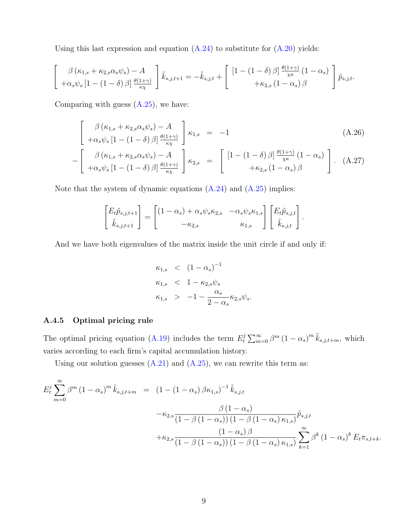Using this last expression and equation  $(A.24)$  to substitute for  $(A.20)$  yields:

$$
\begin{bmatrix}\n\beta (\kappa_{1,s} + \kappa_{2,s} \alpha_s \psi_s) - A \\
+\alpha_s \psi_s \left[1 - (1 - \delta) \beta\right] \frac{\theta(1+\gamma)}{\kappa_X}\n\end{bmatrix} \tilde{k}_{s,j,t+1} = -\tilde{k}_{s,j,t} + \begin{bmatrix}\n\left[1 - (1 - \delta) \beta\right] \frac{\theta(1+\gamma)}{\chi \kappa} (1 - \alpha_s)\n\end{bmatrix} \tilde{p}_{s,j,t}.
$$

Comparing with guess  $(A.25)$ , we have:

<span id="page-8-0"></span>
$$
\begin{bmatrix}\n\beta (\kappa_{1,s} + \kappa_{2,s} \alpha_s \psi_s) - A \\
+\alpha_s \psi_s \left[1 - (1 - \delta) \beta\right] \frac{\theta(1+\gamma)}{\kappa \chi}\n\end{bmatrix} \kappa_{1,s} = -1
$$
\n(A.26)

$$
-\left[\begin{array}{cc}\beta\left(\kappa_{1,s}+\kappa_{2,s}\alpha_{s}\psi_{s}\right)-A\\+\alpha_{s}\psi_{s}\left[1-\left(1-\delta\right)\beta\right]\frac{\theta(1+\gamma)}{\kappa\chi}\end{array}\right]\kappa_{2,s} = \left[\begin{array}{cc}\left[1-\left(1-\delta\right)\beta\right]\frac{\theta(1+\gamma)}{\chi\kappa}\left(1-\alpha_{s}\right)\\+\kappa_{2,s}\left(1-\alpha_{s}\right)\beta\end{array}\right]. (A.27)
$$

Note that the system of dynamic equations  $(A.24)$  and  $(A.25)$  implies:

$$
\begin{bmatrix} E_t \tilde{p}_{s,j,t+1} \\ \tilde{k}_{s,j,t+1} \end{bmatrix} = \begin{bmatrix} (1-\alpha_s) + \alpha_s \psi_s \kappa_{2,s} & -\alpha_s \psi_s \kappa_{1,s} \\ -\kappa_{2,s} & \kappa_{1,s} \end{bmatrix} \begin{bmatrix} E_t \tilde{p}_{s,j,t} \\ \tilde{k}_{s,j,t} \end{bmatrix}.
$$

And we have both eigenvalues of the matrix inside the unit circle if and only if:

$$
\kappa_{1,s} < (1 - \alpha_s)^{-1}
$$
  
\n
$$
\kappa_{1,s} < 1 - \kappa_{2,s} \psi_s
$$
  
\n
$$
\kappa_{1,s} > -1 - \frac{\alpha_s}{2 - \alpha_s} \kappa_{2,s} \psi_s.
$$

#### A.4.5 Optimal pricing rule

The optimal pricing equation [\(A.19\)](#page-6-2) includes the term  $E_t^j$  $t \sum_{m=0}^{\infty} \beta^m (1 - \alpha_s)^m \tilde{k}_{s,j,t+m}$ , which varies according to each firm's capital accumulation history.

Using our solution guesses  $(A.21)$  and  $(A.25)$ , we can rewrite this term as:

$$
E_{t}^{j} \sum_{m=0}^{\infty} \beta^{m} (1 - \alpha_{s})^{m} \tilde{k}_{s,j,t+m} = (1 - (1 - \alpha_{s}) \beta \kappa_{1,s})^{-1} \tilde{k}_{s,j,t}
$$
  

$$
- \kappa_{2,s} \frac{\beta (1 - \alpha_{s})}{(1 - \beta (1 - \alpha_{s})) (1 - \beta (1 - \alpha_{s}) \kappa_{1,s})} \tilde{p}_{s,j,t}
$$
  

$$
+ \kappa_{2,s} \frac{(1 - \alpha_{s}) \beta}{(1 - \beta (1 - \alpha_{s})) (1 - \beta (1 - \alpha_{s}) \kappa_{1,s})} \sum_{k=1}^{\infty} \beta^{k} (1 - \alpha_{s})^{k} E_{t} \pi_{s,t+k}.
$$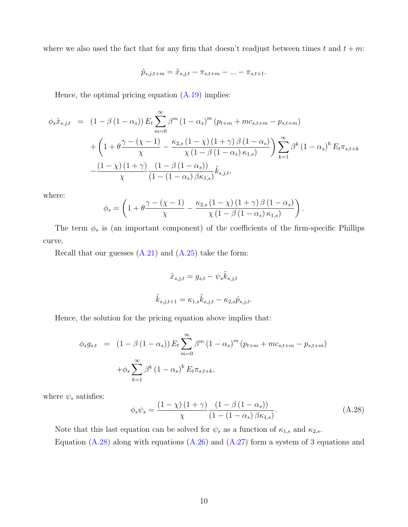where we also used the fact that for any firm that doesn't readjust between times t and  $t + m$ .

$$
\tilde{p}_{s,j,t+m} = \tilde{x}_{s,j,t} - \pi_{s,t+m} - \ldots - \pi_{s,t+1}.
$$

Hence, the optimal pricing equation [\(A.19\)](#page-6-2) implies:

$$
\phi_s \tilde{x}_{s,j,t} = (1 - \beta (1 - \alpha_s)) E_t \sum_{m=0}^{\infty} \beta^m (1 - \alpha_s)^m (p_{t+m} + mc_{s,t+m} - p_{s,t+m}) \n+ \left( 1 + \theta \frac{\gamma - (\chi - 1)}{\chi} - \frac{\kappa_{2,s} (1 - \chi) (1 + \gamma) \beta (1 - \alpha_s)}{\chi (1 - \beta (1 - \alpha_s) \kappa_{1,s})} \right) \sum_{k=1}^{\infty} \beta^k (1 - \alpha_s)^k E_t \pi_{s,t+k} \n- \frac{(1 - \chi) (1 + \gamma)}{\chi} \frac{(1 - \beta (1 - \alpha_s))}{(1 - (1 - \alpha_s) \beta \kappa_{1,s})} \tilde{k}_{s,j,t},
$$

where:

$$
\phi_s = \left(1 + \theta \frac{\gamma - (\chi - 1)}{\chi} - \frac{\kappa_{2,s} (1 - \chi) (1 + \gamma) \beta (1 - \alpha_s)}{\chi (1 - \beta (1 - \alpha_s) \kappa_{1,s})}\right).
$$

The term  $\phi_s$  is (an important component) of the coefficients of the firm-specific Phillips curve.

Recall that our guesses  $(A.21)$  and  $(A.25)$  take the form:

$$
\tilde{x}_{s,j,t} = g_{s,t} - \psi_s \tilde{k}_{s,j,t}
$$

$$
\tilde{k}_{s,j,t+1} = \kappa_{1,s} \tilde{k}_{s,j,t} - \kappa_{2,s} \tilde{p}_{s,j,t}.
$$

Hence, the solution for the pricing equation above implies that:

$$
\phi_s g_{s,t} = (1 - \beta (1 - \alpha_s)) E_t \sum_{m=0}^{\infty} \beta^m (1 - \alpha_s)^m (p_{t+m} + mc_{s,t+m} - p_{s,t+m})
$$

$$
+ \phi_s \sum_{k=1}^{\infty} \beta^k (1 - \alpha_s)^k E_t \pi_{s,t+k},
$$

where  $\psi_s$  satisfies:

<span id="page-9-0"></span>
$$
\phi_s \psi_s = \frac{\left(1 - \chi\right)\left(1 + \gamma\right)}{\chi} \frac{\left(1 - \beta\left(1 - \alpha_s\right)\right)}{\left(1 - \left(1 - \alpha_s\right)\beta \kappa_{1,s}\right)}.\tag{A.28}
$$

Note that this last equation can be solved for  $\psi_s$  as a function of  $\kappa_{1,s}$  and  $\kappa_{2,s}$ .

Equation  $(A.28)$  along with equations  $(A.26)$  and  $(A.27)$  form a system of 3 equations and